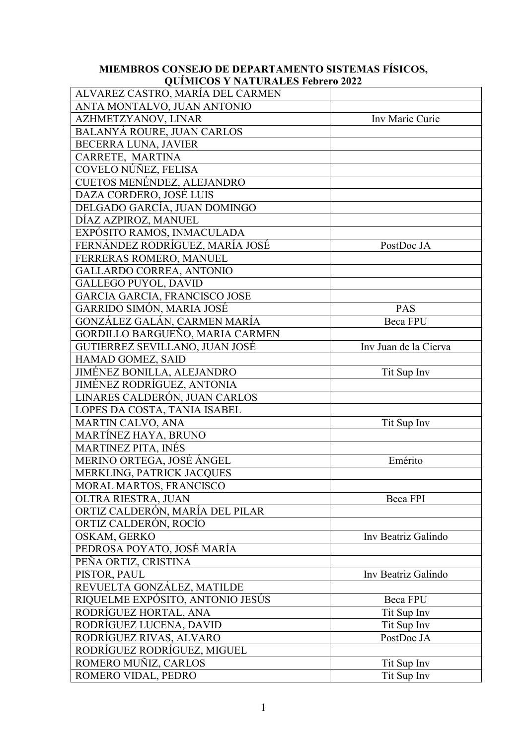## **MIEMBROS CONSEJO DE DEPARTAMENTO SISTEMAS FÍSICOS, QUÍMICOS Y NATURALES Febrero 2022**

| ALVAREZ CASTRO, MARÍA DEL CARMEN  |                       |
|-----------------------------------|-----------------------|
| ANTA MONTALVO, JUAN ANTONIO       |                       |
| AZHMETZYANOV, LINAR               | Inv Marie Curie       |
| <b>BALANYÁ ROURE, JUAN CARLOS</b> |                       |
| <b>BECERRA LUNA, JAVIER</b>       |                       |
| CARRETE, MARTINA                  |                       |
| COVELO NÚÑEZ, FELISA              |                       |
| CUETOS MENÉNDEZ, ALEJANDRO        |                       |
| DAZA CORDERO, JOSÉ LUIS           |                       |
| DELGADO GARCÍA, JUAN DOMINGO      |                       |
| DÍAZ AZPIROZ, MANUEL              |                       |
| EXPÓSITO RAMOS, INMACULADA        |                       |
| FERNÁNDEZ RODRÍGUEZ, MARÍA JOSÉ   | PostDoc JA            |
| FERRERAS ROMERO, MANUEL           |                       |
| <b>GALLARDO CORREA, ANTONIO</b>   |                       |
| <b>GALLEGO PUYOL, DAVID</b>       |                       |
| GARCIA GARCIA, FRANCISCO JOSE     |                       |
| GARRIDO SIMÓN, MARIA JOSÉ         | <b>PAS</b>            |
| GONZÁLEZ GALÁN, CARMEN MARÍA      | Beca FPU              |
| GORDILLO BARGUEÑO, MARIA CARMEN   |                       |
| GUTIERREZ SEVILLANO, JUAN JOSÉ    | Inv Juan de la Cierva |
| HAMAD GOMEZ, SAID                 |                       |
| JIMÉNEZ BONILLA, ALEJANDRO        | Tit Sup Inv           |
| <b>JIMÉNEZ RODRÍGUEZ, ANTONIA</b> |                       |
| LINARES CALDERÓN, JUAN CARLOS     |                       |
| LOPES DA COSTA, TANIA ISABEL      |                       |
| MARTIN CALVO, ANA                 | Tit Sup Inv           |
| MARTÍNEZ HAYA, BRUNO              |                       |
| <b>MARTINEZ PITA, INÉS</b>        |                       |
| MERINO ORTEGA, JOSÉ ÁNGEL         | Emérito               |
| MERKLING, PATRICK JACQUES         |                       |
| MORAL MARTOS, FRANCISCO           |                       |
| OLTRA RIESTRA, JUAN               | Beca FPI              |
| ORTIZ CALDERÓN, MARÍA DEL PILAR   |                       |
| ORTIZ CALDERÓN, ROCÍO             |                       |
| OSKAM, GERKO                      | Inv Beatriz Galindo   |
| PEDROSA POYATO, JOSÉ MARÍA        |                       |
| PEÑA ORTIZ, CRISTINA              |                       |
| PISTOR, PAUL                      | Inv Beatriz Galindo   |
| REVUELTA GONZÁLEZ, MATILDE        |                       |
| RIQUELME EXPÓSITO, ANTONIO JESÚS  | <b>Beca FPU</b>       |
| RODRÍGUEZ HORTAL, ANA             | Tit Sup Inv           |
| RODRÍGUEZ LUCENA, DAVID           | Tit Sup Inv           |
| RODRÍGUEZ RIVAS, ALVARO           | PostDoc JA            |
| RODRÍGUEZ RODRÍGUEZ, MIGUEL       |                       |
| ROMERO MUÑIZ, CARLOS              | Tit Sup Inv           |
| ROMERO VIDAL, PEDRO               | Tit Sup Inv           |